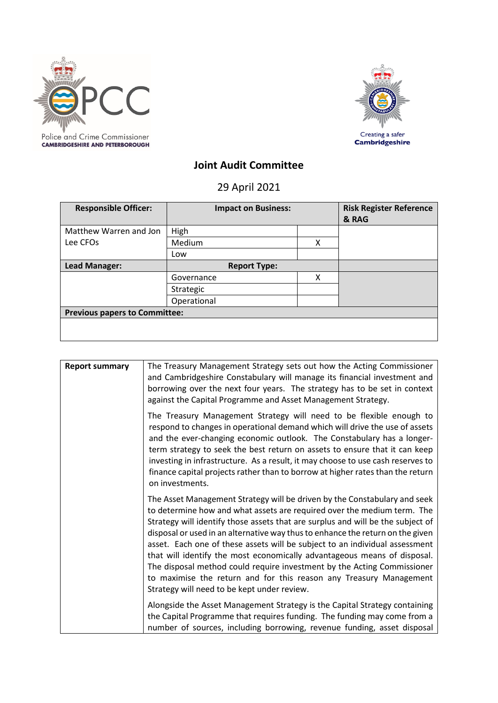



## **Joint Audit Committee**

## 29 April 2021

| <b>Responsible Officer:</b>          | <b>Impact on Business:</b> |   | <b>Risk Register Reference</b><br>& RAG |
|--------------------------------------|----------------------------|---|-----------------------------------------|
| Matthew Warren and Jon               | High                       |   |                                         |
| Lee CFOs                             | Medium                     | X |                                         |
|                                      | Low                        |   |                                         |
| Lead Manager:                        | <b>Report Type:</b>        |   |                                         |
|                                      | Governance                 | x |                                         |
|                                      | Strategic                  |   |                                         |
|                                      | Operational                |   |                                         |
| <b>Previous papers to Committee:</b> |                            |   |                                         |
|                                      |                            |   |                                         |

| <b>Report summary</b> | The Treasury Management Strategy sets out how the Acting Commissioner<br>and Cambridgeshire Constabulary will manage its financial investment and<br>borrowing over the next four years. The strategy has to be set in context<br>against the Capital Programme and Asset Management Strategy.                                                                                                                                                                                                                                                                                                                                                                                       |
|-----------------------|--------------------------------------------------------------------------------------------------------------------------------------------------------------------------------------------------------------------------------------------------------------------------------------------------------------------------------------------------------------------------------------------------------------------------------------------------------------------------------------------------------------------------------------------------------------------------------------------------------------------------------------------------------------------------------------|
|                       | The Treasury Management Strategy will need to be flexible enough to<br>respond to changes in operational demand which will drive the use of assets<br>and the ever-changing economic outlook. The Constabulary has a longer-<br>term strategy to seek the best return on assets to ensure that it can keep<br>investing in infrastructure. As a result, it may choose to use cash reserves to<br>finance capital projects rather than to borrow at higher rates than the return<br>on investments.                                                                                                                                                                                   |
|                       | The Asset Management Strategy will be driven by the Constabulary and seek<br>to determine how and what assets are required over the medium term. The<br>Strategy will identify those assets that are surplus and will be the subject of<br>disposal or used in an alternative way thus to enhance the return on the given<br>asset. Each one of these assets will be subject to an individual assessment<br>that will identify the most economically advantageous means of disposal.<br>The disposal method could require investment by the Acting Commissioner<br>to maximise the return and for this reason any Treasury Management<br>Strategy will need to be kept under review. |
|                       | Alongside the Asset Management Strategy is the Capital Strategy containing<br>the Capital Programme that requires funding. The funding may come from a<br>number of sources, including borrowing, revenue funding, asset disposal                                                                                                                                                                                                                                                                                                                                                                                                                                                    |